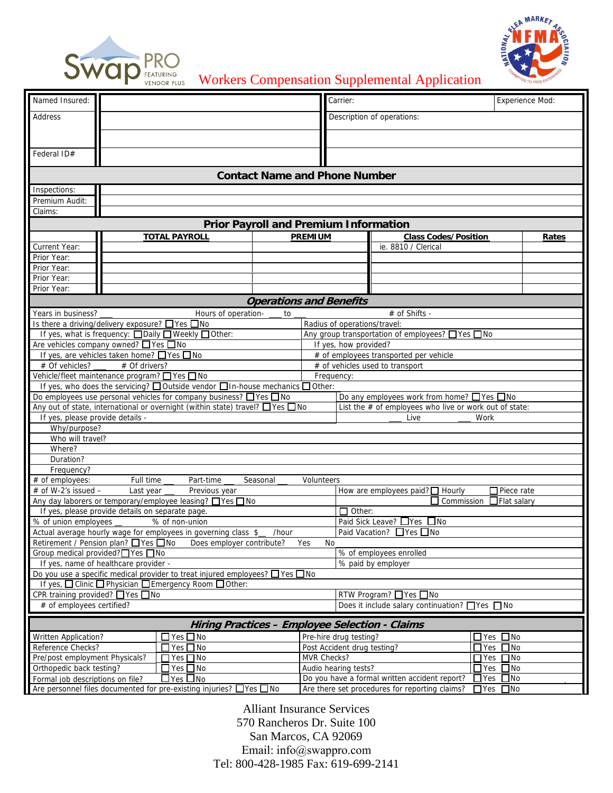



Workers Compensation Supplemental Application

| Named Insured:                                                                                                                                                                |                                                                     | Carrier:                                    |                                                            | <b>Experience Mod:</b> |  |
|-------------------------------------------------------------------------------------------------------------------------------------------------------------------------------|---------------------------------------------------------------------|---------------------------------------------|------------------------------------------------------------|------------------------|--|
| <b>Address</b>                                                                                                                                                                | Description of operations:                                          |                                             |                                                            |                        |  |
|                                                                                                                                                                               |                                                                     |                                             |                                                            |                        |  |
|                                                                                                                                                                               |                                                                     |                                             |                                                            |                        |  |
| Federal ID#                                                                                                                                                                   |                                                                     |                                             |                                                            |                        |  |
| <b>Contact Name and Phone Number</b>                                                                                                                                          |                                                                     |                                             |                                                            |                        |  |
| Inspections:                                                                                                                                                                  |                                                                     |                                             |                                                            |                        |  |
| Premium Audit:                                                                                                                                                                |                                                                     |                                             |                                                            |                        |  |
| Claims:                                                                                                                                                                       |                                                                     |                                             |                                                            |                        |  |
| <b>Prior Payroll and Premium Information</b>                                                                                                                                  |                                                                     |                                             |                                                            |                        |  |
|                                                                                                                                                                               | <b>TOTAL PAYROLL</b>                                                | <b>PREMIUM</b>                              | <b>Class Codes/Position</b>                                | Rates                  |  |
| Current Year:                                                                                                                                                                 |                                                                     |                                             | ie. 8810 / Clerical                                        |                        |  |
| Prior Year:                                                                                                                                                                   |                                                                     |                                             |                                                            |                        |  |
| Prior Year:                                                                                                                                                                   |                                                                     |                                             |                                                            |                        |  |
| Prior Year:                                                                                                                                                                   |                                                                     |                                             |                                                            |                        |  |
| Prior Year:                                                                                                                                                                   |                                                                     |                                             |                                                            |                        |  |
| <b>Operations and Benefits</b><br>Years in business?<br># of Shifts -<br>Hours of operation-<br>to                                                                            |                                                                     |                                             |                                                            |                        |  |
|                                                                                                                                                                               | Is there a driving/delivery exposure? ØYes ONo                      |                                             | Radius of operations/travel: 100<br>$ \blacktriangledown $ |                        |  |
|                                                                                                                                                                               | If yes, what is frequency: □ Daily □ Weekly □ Other:                |                                             | Any group transportation of employees? □ Yes □ No          |                        |  |
| Are vehicles company owned? ■ Yes ■ No                                                                                                                                        |                                                                     |                                             | If yes, how provided? Bus<br>$\overline{\phantom{a}}$      |                        |  |
|                                                                                                                                                                               | If yes, are vehicles taken home? □ Yes □ No                         |                                             | # of employees transported per vehicle                     |                        |  |
| # Of vehicles?                                                                                                                                                                | # Of drivers?                                                       |                                             | # of vehicles used to transport                            |                        |  |
| Vehicle/fleet maintenance program? 7 Yes 7 No<br>Frequency: Monthly<br>$\overline{\blacktriangledown}$                                                                        |                                                                     |                                             |                                                            |                        |  |
| If yes, who does the servicing? $\Box$ Outside vendor $\Box$ In-house mechanics $\Box$ Other:                                                                                 |                                                                     |                                             |                                                            |                        |  |
|                                                                                                                                                                               | Do employees use personal vehicles for company business? □ Yes □ No | Do any employees work from home? □ Yes □ No |                                                            |                        |  |
| Any out of state, international or overnight (within state) travel? $\Box$ Yes $\Box$ No                                                                                      |                                                                     |                                             | List the $#$ of employees who live or work out of state:   |                        |  |
| If yes, please provide details -<br>Live<br>Work                                                                                                                              |                                                                     |                                             |                                                            |                        |  |
| Why/purpose?<br>Who will travel?                                                                                                                                              |                                                                     |                                             |                                                            |                        |  |
| Where?                                                                                                                                                                        |                                                                     |                                             |                                                            |                        |  |
| Duration?                                                                                                                                                                     |                                                                     |                                             |                                                            |                        |  |
| Frequency?                                                                                                                                                                    |                                                                     |                                             |                                                            |                        |  |
| Full time<br># of employees:<br>Part-time<br>Seasonal<br>Volunteers                                                                                                           |                                                                     |                                             |                                                            |                        |  |
| $#$ of W-2's issued $-$<br>Last year<br>$\Box$ Piece rate<br>Previous year<br>How are employees paid? $\Box$ Hourly                                                           |                                                                     |                                             |                                                            |                        |  |
| Any day laborers or temporary/employee leasing? □ Yes □ No                                                                                                                    |                                                                     |                                             | $\Box$ Commission<br>Flat salary                           |                        |  |
|                                                                                                                                                                               | If yes, please provide details on separate page.                    |                                             | $\Box$ Other:                                              |                        |  |
| Paid Sick Leave? □ Yes □ No<br>% of union employees<br>% of non-union<br>Paid Vacation? □ Yes □ No<br>Actual average hourly wage for employees in governing class \$<br>/hour |                                                                     |                                             |                                                            |                        |  |
| Retirement / Pension plan? □ Yes □ No<br>Does employer contribute?<br>Yes<br>NO.                                                                                              |                                                                     |                                             |                                                            |                        |  |
| Group medical provided? Yes No                                                                                                                                                |                                                                     |                                             | % of employees enrolled                                    |                        |  |
|                                                                                                                                                                               | If yes, name of healthcare provider -                               |                                             | % paid by employer                                         |                        |  |
| Do you use a specific medical provider to treat injured employees? □ Yes □ No                                                                                                 |                                                                     |                                             |                                                            |                        |  |
| If yes, □ Clinic □ Physician □ Emergency Room □ Other:                                                                                                                        |                                                                     |                                             |                                                            |                        |  |
| CPR training provided? □ Yes □ No                                                                                                                                             |                                                                     |                                             | RTW Program? □ Yes □ No                                    |                        |  |
| # of employees certified?<br>Does it include salary continuation? $\Box$ Yes $\Box$ No                                                                                        |                                                                     |                                             |                                                            |                        |  |
| <b>Hiring Practices - Employee Selection - Claims</b>                                                                                                                         |                                                                     |                                             |                                                            |                        |  |
| Written Application?                                                                                                                                                          | $\Box$ Yes $\Box$ No                                                | Pre-hire drug testing?                      |                                                            | □ Yes □ No             |  |
| Reference Checks?                                                                                                                                                             | $\Box$ Yes $\Box$ No                                                | Post Accident drug testing?                 |                                                            | $\Box$ Yes $\Box$ No   |  |
| Pre/post employment Physicals?                                                                                                                                                | MVR Checks?<br>$\Box$ Yes $\Box$ No                                 |                                             |                                                            | $\Box$ Yes $\Box$ No   |  |
| $\Box$ Yes $\Box$ No<br>Orthopedic back testing?                                                                                                                              |                                                                     |                                             | Audio hearing tests?                                       | $\Box$ Yes $\Box$ No   |  |
| Do you have a formal written accident report?<br>$\Box$ Yes<br>$\square$ No<br>$\Box$ Yes $\Box$ No<br>Formal job descriptions on file?                                       |                                                                     |                                             |                                                            |                        |  |
| Are personnel files documented for pre-existing injuries? □ Yes □ No<br>Are there set procedures for reporting claims?<br>$\sqrt{Y}$ es $\sqrt{N_0}$                          |                                                                     |                                             |                                                            |                        |  |

Alliant Insurance Services 570 Rancheros Dr. Suite 100 San Marcos, CA 92069 Email: info@swappro.com Tel: 800-428-1985 Fax: 619-699-2141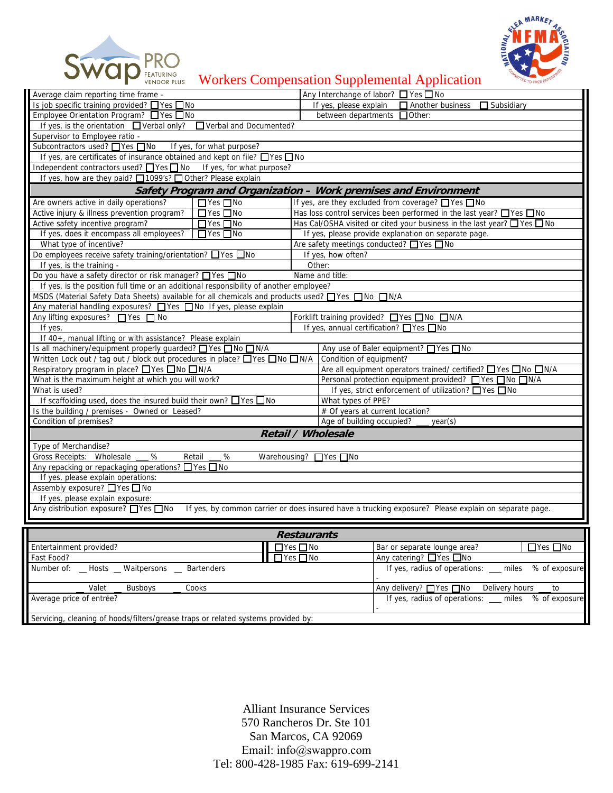



Workers Compensation Supplemental Application

| Average claim reporting time frame -                                                                                                          | Any Interchange of labor? □ Yes □ No                                               |  |  |  |  |
|-----------------------------------------------------------------------------------------------------------------------------------------------|------------------------------------------------------------------------------------|--|--|--|--|
| Is job specific training provided? □ Yes □ No                                                                                                 | If yes, please explain<br>Another business<br>$\Box$ Subsidiary                    |  |  |  |  |
| Employee Orientation Program? □ Yes □ No                                                                                                      | between departments □ Other:                                                       |  |  |  |  |
| If yes, is the orientation $\Box$ Verbal only? $\Box$ Verbal and Documented?                                                                  |                                                                                    |  |  |  |  |
| Supervisor to Employee ratio - >7-1<br>$\overline{\phantom{a}}$                                                                               |                                                                                    |  |  |  |  |
| If yes, for what purpose?<br>Subcontractors used? □ Yes □ No                                                                                  |                                                                                    |  |  |  |  |
| If yes, are certificates of insurance obtained and kept on file? □ Yes □ No                                                                   |                                                                                    |  |  |  |  |
| Independent contractors used? Thes T No If yes, for what purpose?                                                                             |                                                                                    |  |  |  |  |
| If yes, how are they paid? □ 1099's? □ Other? Please explain                                                                                  |                                                                                    |  |  |  |  |
| <b>Safety Program and Organization - Work premises and Environment</b>                                                                        |                                                                                    |  |  |  |  |
| $\Box$ Yes $\Box$ No<br>Are owners active in daily operations?                                                                                | If yes, are they excluded from coverage? $\Box$ Yes $\Box$ No                      |  |  |  |  |
| Active injury & illness prevention program?<br>$\Box$ Yes $\Box$ No                                                                           | Has loss control services been performed in the last year? Thes Tho                |  |  |  |  |
| Active safety incentive program?<br>$\Box$ Yes $\Box$ No                                                                                      | Has Cal/OSHA visited or cited your business in the last year? $\Box$ Yes $\Box$ No |  |  |  |  |
| If yes, does it encompass all employees?<br>$\Box$ Yes $\Box$ No                                                                              | If yes, please provide explanation on separate page.                               |  |  |  |  |
| What type of incentive?                                                                                                                       | Are safety meetings conducted? ■ Yes ■ No                                          |  |  |  |  |
| Do employees receive safety training/orientation? $\Box$ Yes $\Box$ No                                                                        | If yes, how often? Other<br>$\overline{\mathbf{v}}$                                |  |  |  |  |
| If yes, is the training - Informal<br>$\overline{\mathbf{v}}$                                                                                 | Other:                                                                             |  |  |  |  |
| Do you have a safety director or risk manager? □ Yes □ No<br>Name and title:                                                                  |                                                                                    |  |  |  |  |
| If yes, is the position full time or an additional responsibility of another employee? Additional Responsibility                              |                                                                                    |  |  |  |  |
| MSDS (Material Safety Data Sheets) available for all chemicals and products used? ■ Yes ■ No ■ N/A                                            |                                                                                    |  |  |  |  |
| Any material handling exposures? TYes TNo If yes, please explain                                                                              |                                                                                    |  |  |  |  |
| Any lifting exposures? ■ Yes ■ No                                                                                                             | Forklift training provided? ■ Yes ■ No ■ N/A                                       |  |  |  |  |
| If yes, $40+$<br>$\overline{\blacktriangledown}$                                                                                              | If yes, annual certification? □ Yes □ No                                           |  |  |  |  |
| If 40+, manual lifting or with assistance? Please explain                                                                                     |                                                                                    |  |  |  |  |
| Is all machinery/equipment properly guarded? □ Yes □ No □ N/A                                                                                 | Any use of Baler equipment? □ Yes □ No                                             |  |  |  |  |
| Written Lock out / tag out / block out procedures in place? $\Box$ Yes $\Box$ No $\Box$ N/A                                                   | $\overline{\mathbf{v}}$<br>Condition of equipment? Average                         |  |  |  |  |
| Respiratory program in place? □ Yes □ No □ N/A                                                                                                | Are all equipment operators trained/ certified? □ Yes □ No □ N/A                   |  |  |  |  |
|                                                                                                                                               |                                                                                    |  |  |  |  |
| What is the maximum height at which you will work?<br>ाेच<br>What is used? N/A                                                                | Personal protection equipment provided? ■ Yes ■ No ■ N/A                           |  |  |  |  |
|                                                                                                                                               | If yes, strict enforcement of utilization? $\Box$ Yes $\Box$ No                    |  |  |  |  |
| If scaffolding used, does the insured build their own? $\Box$ Yes $\Box$ No                                                                   | What types of PPE?                                                                 |  |  |  |  |
| Is the building / premises - Owned or Leased? Leased<br>$\overline{\blacktriangledown}$<br>Condition of premises? Average                     | # Of years at current location?                                                    |  |  |  |  |
| $\blacktriangledown$                                                                                                                          | Age of building occupied?<br>year(s)                                               |  |  |  |  |
| Retail / Wholesale<br>Type of Merchandise?                                                                                                    |                                                                                    |  |  |  |  |
| Gross Receipts: Wholesale<br>%<br>Retail<br>%<br>Warehousing? ■ Yes ■ No                                                                      |                                                                                    |  |  |  |  |
| Any repacking or repackaging operations? □ Yes □ No                                                                                           |                                                                                    |  |  |  |  |
| If yes, please explain operations:                                                                                                            |                                                                                    |  |  |  |  |
| Assembly exposure? ■ Yes ■ No                                                                                                                 |                                                                                    |  |  |  |  |
| If yes, please explain exposure:                                                                                                              |                                                                                    |  |  |  |  |
| Any distribution exposure? □ Yes □ No<br>If yes, by common carrier or does insured have a trucking exposure? Please explain on separate page. |                                                                                    |  |  |  |  |
|                                                                                                                                               |                                                                                    |  |  |  |  |
|                                                                                                                                               |                                                                                    |  |  |  |  |
| <b>Restaurants</b>                                                                                                                            |                                                                                    |  |  |  |  |
| Entertainment provided?<br>$\Box$ Yes $\Box$ No                                                                                               | Bar or separate lounge area?<br>$\Box$ Yes $\Box$ No                               |  |  |  |  |
| Fast Food?                                                                                                                                    | Any catering? ■ Yes ■ No<br>$\exists$ Yes $\Box$ No                                |  |  |  |  |
| Number of: _ Hosts _ Waitpersons _ Bartenders                                                                                                 | If yes, radius of operations: __ miles<br>% of exposure                            |  |  |  |  |
| Valet<br>Cooks<br><b>Busboys</b>                                                                                                              | Any delivery? ■ Yes ■ No<br>Delivery hours<br>to                                   |  |  |  |  |
| Average price of entrée?                                                                                                                      | If yes, radius of operations: miles % of exposure                                  |  |  |  |  |
| Servicing, cleaning of hoods/filters/grease traps or related systems provided by: Employees                                                   |                                                                                    |  |  |  |  |
|                                                                                                                                               |                                                                                    |  |  |  |  |

Alliant Insurance Services 570 Rancheros Dr. Ste 101 San Marcos, CA 92069 Email: info@swappro.com Tel: 800-428-1985 Fax: 619-699-2141